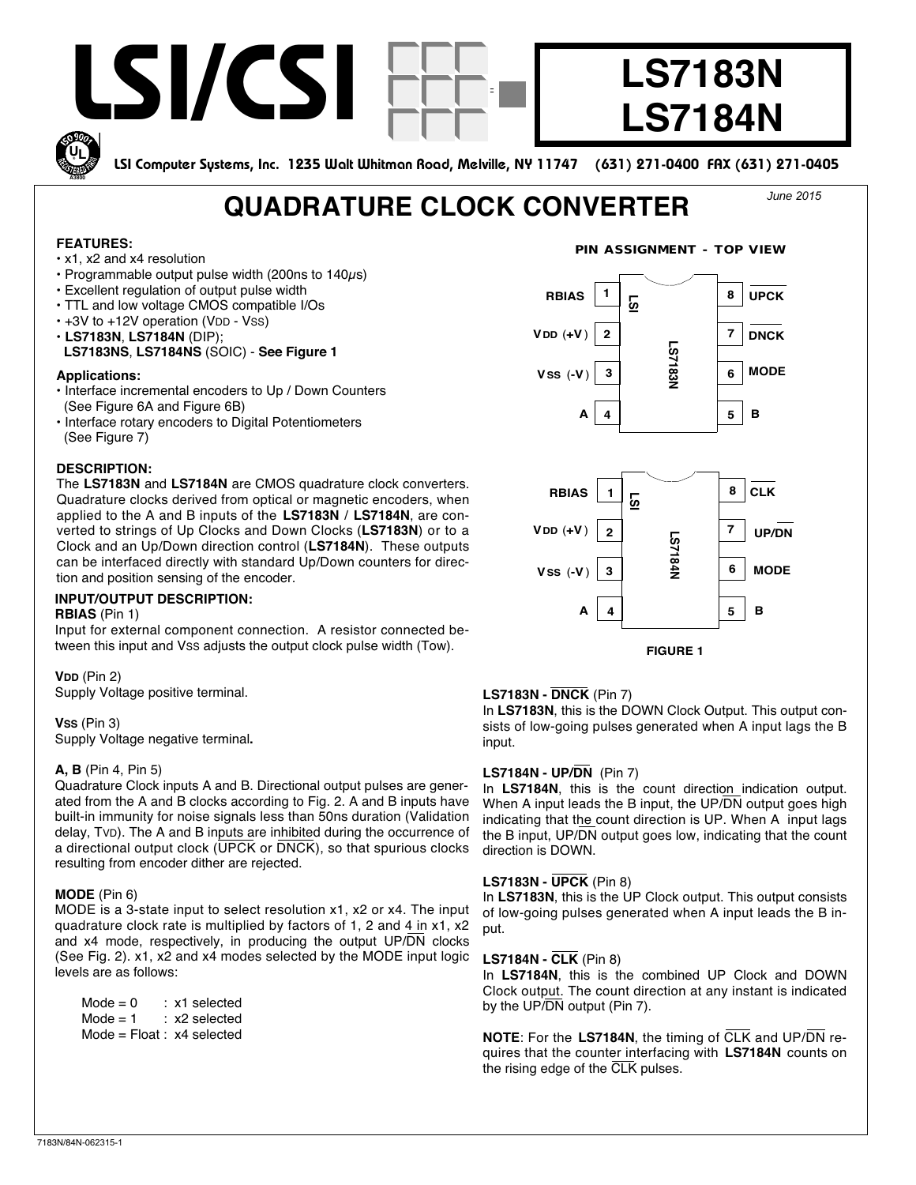

Input for external component connection. A resistor connected between this input and VSS adjusts the output clock pulse width (Tow).

**VDD** (Pin 2) Supply Voltage positive terminal.

**VSS** (Pin 3) Supply Voltage negative terminal**.**

## **A, B** (Pin 4, Pin 5)

Quadrature Clock inputs A and B. Directional output pulses are generated from the A and B clocks according to Fig. 2. A and B inputs have built-in immunity for noise signals less than 50ns duration (Validation delay, TVD). The A and B inputs are inhibited during the occurrence of a directional output clock  $(\overline{UPCK}$  or  $\overline{DNCK}$ ), so that spurious clocks resulting from encoder dither are rejected.

#### **MODE** (Pin 6)

MODE is a 3-state input to select resolution x1, x2 or x4. The input quadrature clock rate is multiplied by factors of 1, 2 and 4 in x1, x2 and x4 mode, respectively, in producing the output UP/DN clocks (See Fig. 2). x1, x2 and x4 modes selected by the MODE input logic levels are as follows:

 $Mode = 0$  : x1 selected  $Mode = 1$  : x2 selected Mode = Float : x4 selected

# **LS7183N - DNCK** (Pin 7)

In **LS7183N**, this is the DOWN Clock Output. This output consists of low-going pulses generated when A input lags the B input.

**FIGURE 1**

## **LS7184N - UP/DN** (Pin 7)

In **LS7184N**, this is the count direction indication output. When A input leads the B input, the UP/DN output goes high indicating that the count direction is UP. When A input lags the B input, UP/DN output goes low, indicating that the count direction is DOWN.

## **LS7183N - UPCK** (Pin 8)

In **LS7183N**, this is the UP Clock output. This output consists of low-going pulses generated when A input leads the B input.

#### **LS7184N - CLK** (Pin 8)

In **LS7184N**, this is the combined UP Clock and DOWN Clock output. The count direction at any instant is indicated by the UP/DN output (Pin 7).

**NOTE**: For the **LS7184N**, the timing of CLK and UP/DN requires that the counter interfacing with **LS7184N** counts on the rising edge of the CLK pulses.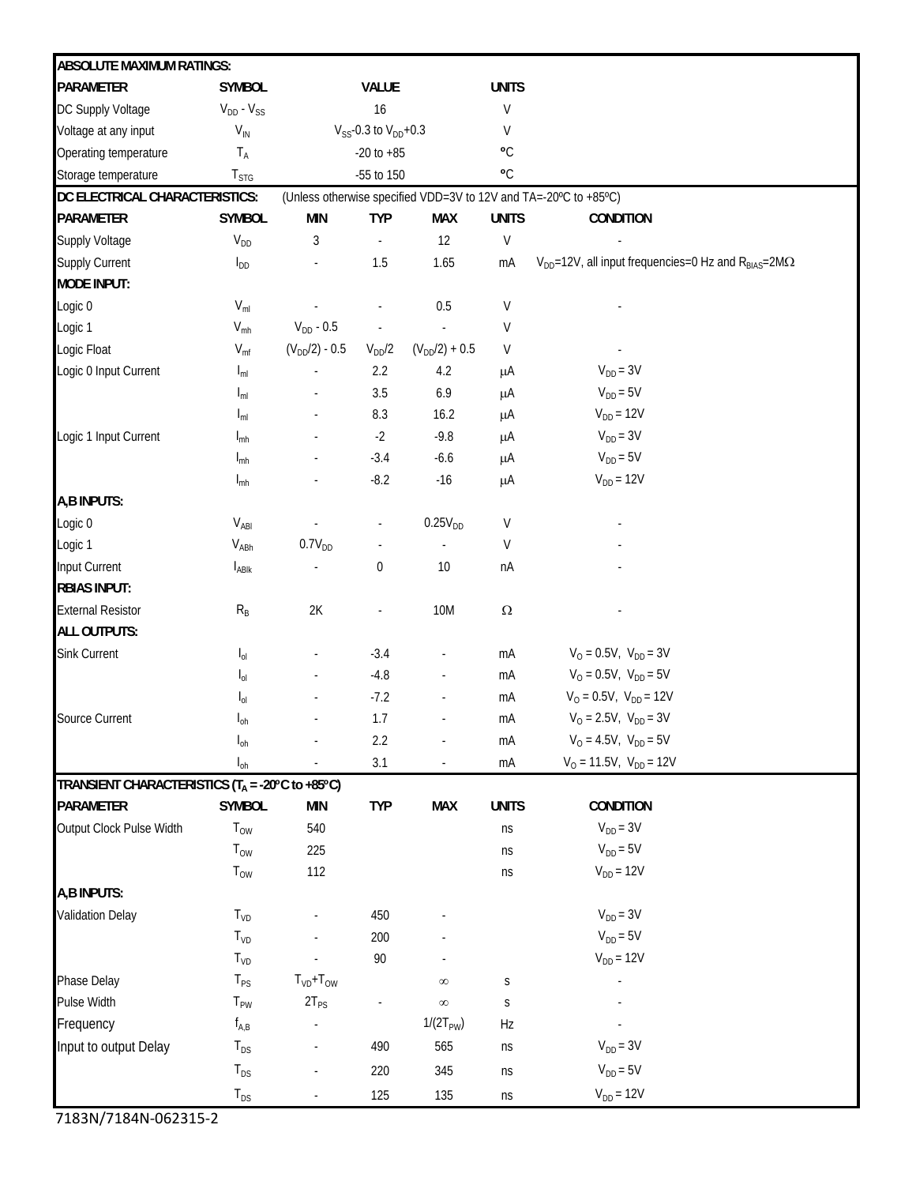| <b>ABSOLUTE MAXIMUM RATINGS:</b>                     |                              |                                                                  |                  |                          |                |                                                                       |
|------------------------------------------------------|------------------------------|------------------------------------------------------------------|------------------|--------------------------|----------------|-----------------------------------------------------------------------|
| <b>PARAMETER</b>                                     | <b>SYMBOL</b>                |                                                                  | <b>VALUE</b>     |                          | <b>UNITS</b>   |                                                                       |
| DC Supply Voltage                                    | $V_{DD} - V_{SS}$            | 16                                                               |                  | V                        |                |                                                                       |
| Voltage at any input                                 | $V_{\text{IN}}$              | $V_{SS}$ -0.3 to $V_{DD}$ +0.3                                   |                  |                          | V              |                                                                       |
| Operating temperature                                | $T_A$                        | $-20$ to $+85$                                                   |                  |                          | $\mathbf{C}$   |                                                                       |
| Storage temperature                                  | ${\mathsf T}_{\mathsf{STG}}$ | -55 to 150                                                       |                  |                          | $\mathbf{O}_C$ |                                                                       |
| DC ELECTRICAL CHARACTERISTICS:                       |                              | (Unless otherwise specified VDD=3V to 12V and TA=-20°C to +85°C) |                  |                          |                |                                                                       |
| <b>PARAMETER</b>                                     | <b>SYMBOL</b>                | <b>MIN</b>                                                       | <b>TYP</b>       | <b>MAX</b>               | <b>UNITS</b>   | <b>CONDITION</b>                                                      |
| Supply Voltage                                       | $V_{DD}$                     | 3                                                                |                  | 12                       | V              |                                                                       |
| Supply Current                                       | $I_{DD}$                     |                                                                  | 1.5              | 1.65                     | mA             | $V_{DD}$ =12V, all input frequencies=0 Hz and $R_{BIAS}$ =2M $\Omega$ |
| <b>MODE INPUT:</b>                                   |                              |                                                                  |                  |                          |                |                                                                       |
| Logic 0                                              | $V_{ml}$                     |                                                                  |                  | 0.5                      | V              |                                                                       |
| Logic 1                                              | $V_{mh}$                     | $V_{DD} - 0.5$                                                   |                  |                          | V              |                                                                       |
| Logic Float                                          | $V_{\text{mf}}$              | $(V_{DD}/2) - 0.5$                                               | $V_{DD}/2$       | $(V_{DD}/2) + 0.5$       | V              |                                                                       |
| Logic 0 Input Current                                | $I_{ml}$                     |                                                                  | 2.2              | 4.2                      | μA             | $V_{DD} = 3V$                                                         |
|                                                      | $I_{ml}$                     |                                                                  | 3.5              | 6.9                      | μA             | $V_{DD} = 5V$                                                         |
|                                                      | $I_{ml}$                     |                                                                  | 8.3              | 16.2                     | μA             | $V_{DD} = 12V$                                                        |
| Logic 1 Input Current                                | $I_{\text{mh}}$              |                                                                  | $-2$             | $-9.8$                   | μA             | $V_{DD} = 3V$                                                         |
|                                                      | $I_{\text{mh}}$              |                                                                  | $-3.4$           | $-6.6$                   | μA             | $V_{DD} = 5V$                                                         |
|                                                      | $I_{\text{mh}}$              |                                                                  | $-8.2$           | $-16$                    | μA             | $V_{DD} = 12V$                                                        |
| A,B INPUTS:                                          |                              |                                                                  |                  |                          |                |                                                                       |
| Logic 0                                              | $V_{ABI}$                    |                                                                  | $\blacksquare$   | 0.25V <sub>DD</sub>      | V              |                                                                       |
| Logic 1                                              | $V_{ABh}$                    | $0.7V_{DD}$                                                      |                  |                          | V              |                                                                       |
| Input Current                                        | $I_{ABlk}$                   |                                                                  | $\boldsymbol{0}$ | 10                       | nA             |                                                                       |
| <b>RBIAS INPUT:</b>                                  |                              |                                                                  |                  |                          |                |                                                                       |
| <b>External Resistor</b>                             | $R_B$                        | $2\mathsf{K}$                                                    | ÷,               | <b>10M</b>               | $\Omega$       |                                                                       |
| <b>ALL OUTPUTS:</b>                                  |                              |                                                                  |                  |                          |                |                                                                       |
| Sink Current                                         | $\mathsf{I}_{\text{ol}}$     |                                                                  | $-3.4$           |                          | mA             | $V_{O} = 0.5V$ , $V_{DD} = 3V$                                        |
|                                                      | $\mathsf{I}_{\text{ol}}$     |                                                                  | $-4.8$           | $\overline{\phantom{a}}$ | mA             | $V_{O} = 0.5V$ , $V_{DD} = 5V$                                        |
|                                                      | $I_{0}$                      |                                                                  | $-7.2$           | ÷,                       | mA             | $V_{O} = 0.5V$ , $V_{DD} = 12V$                                       |
| Source Current                                       | $I_{\text{oh}}$              |                                                                  | 1.7              |                          | mA             | $V_0 = 2.5V$ , $V_{DD} = 3V$                                          |
|                                                      | $I_{oh}$                     |                                                                  | 2.2              | $\overline{\phantom{a}}$ | mA             | $V_{O} = 4.5V$ , $V_{DD} = 5V$                                        |
|                                                      | $I_{oh}$                     |                                                                  | 3.1              | $\overline{\phantom{a}}$ | mA             | $V_0 = 11.5V$ , $V_{DD} = 12V$                                        |
| TRANSIENT CHARACTERISTICS ( $T_A = -20$ °C to +85°C) |                              |                                                                  |                  |                          |                |                                                                       |
| PARAMETER                                            | <b>SYMBOL</b>                | <b>MIN</b>                                                       | <b>TYP</b>       | <b>MAX</b>               | <b>UNITS</b>   | <b>CONDITION</b>                                                      |
| Output Clock Pulse Width                             | $T_{OW}$                     | 540                                                              |                  |                          | ns             | $V_{DD} = 3V$                                                         |
|                                                      | $T_{OW}$                     | 225                                                              |                  |                          | ns             | $V_{DD} = 5V$                                                         |
|                                                      | $T_{OW}$                     | 112                                                              |                  |                          | ns             | $V_{DD} = 12V$                                                        |
| A,B INPUTS:                                          |                              |                                                                  |                  |                          |                |                                                                       |
| Validation Delay                                     | $T_{VD}$                     |                                                                  | 450              |                          |                | $V_{DD} = 3V$                                                         |
|                                                      | $T_{VD}$                     |                                                                  | 200              |                          |                | $V_{DD} = 5V$                                                         |
|                                                      | T <sub>VD</sub>              |                                                                  | $90\,$           |                          |                | $V_{DD} = 12V$                                                        |
| Phase Delay                                          | $T_{PS}$                     | $TVD+TOW$                                                        |                  | $\infty$                 | S              |                                                                       |
| Pulse Width                                          | $T_{PW}$                     | $2T_{PS}$                                                        |                  | $\infty$                 | S              |                                                                       |
| Frequency                                            | $f_{A,B}$                    |                                                                  |                  | $1/(2T_{PW})$            | Hz             |                                                                       |
| Input to output Delay                                | $T_{DS}$                     |                                                                  | 490              | 565                      | ns             | $V_{DD} = 3V$                                                         |
|                                                      | $T_{DS}$                     |                                                                  | 220              | 345                      | ns             | $V_{DD} = 5V$                                                         |
|                                                      | $T_{DS}$                     |                                                                  | 125              | 135                      | ns             | $V_{DD} = 12V$                                                        |

7183N/7184N‐062315-2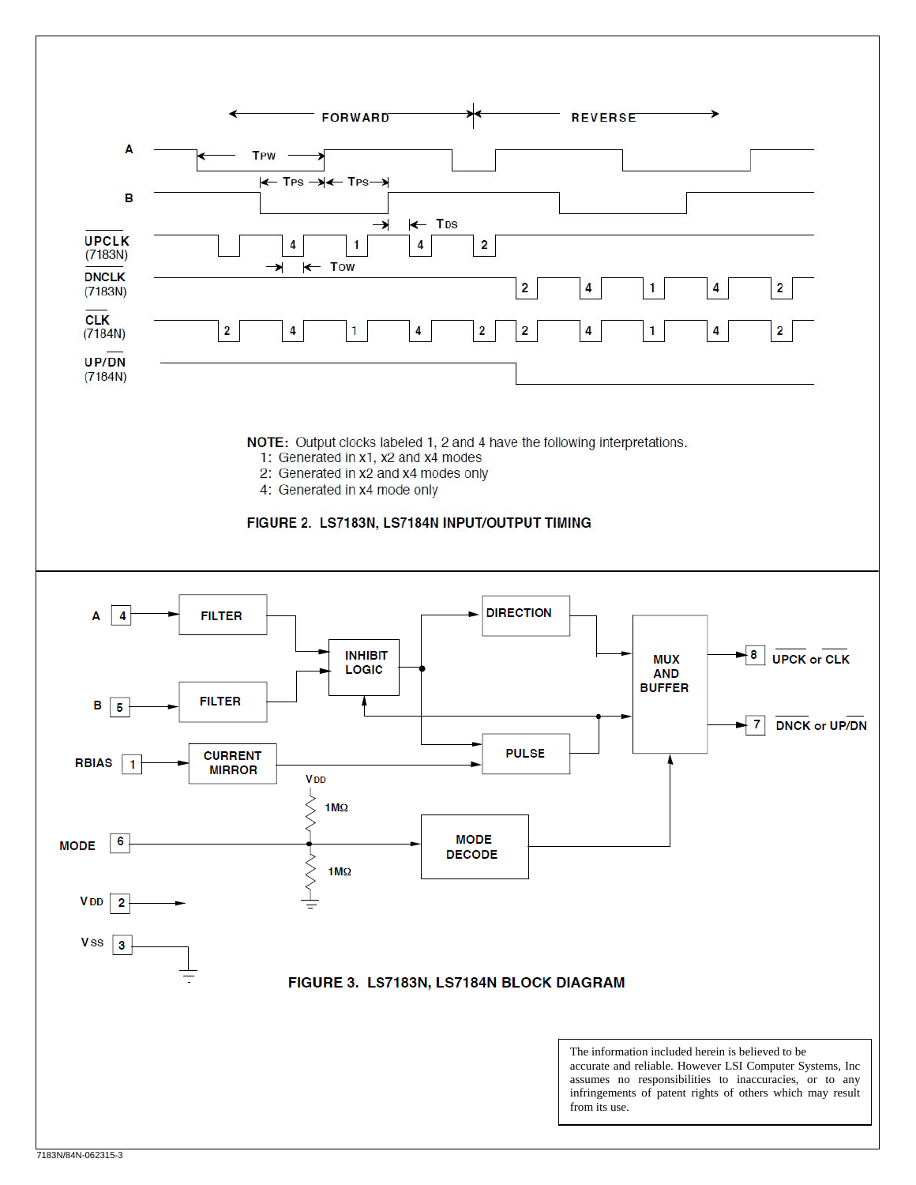